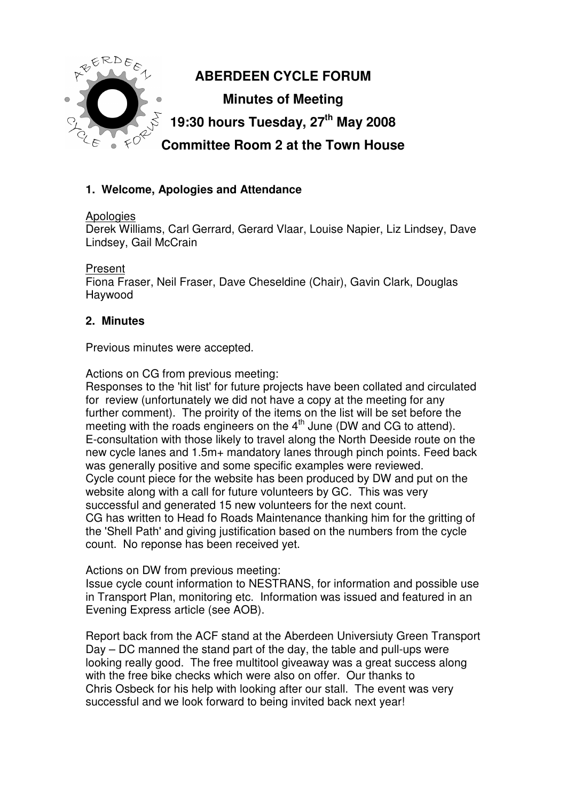

# **1. Welcome, Apologies and Attendance**

#### Apologies

Derek Williams, Carl Gerrard, Gerard Vlaar, Louise Napier, Liz Lindsey, Dave Lindsey, Gail McCrain

#### Present

Fiona Fraser, Neil Fraser, Dave Cheseldine (Chair), Gavin Clark, Douglas Haywood

### **2. Minutes**

Previous minutes were accepted.

Actions on CG from previous meeting:

Responses to the 'hit list' for future projects have been collated and circulated for review (unfortunately we did not have a copy at the meeting for any further comment). The proirity of the items on the list will be set before the meeting with the roads engineers on the 4<sup>th</sup> June (DW and CG to attend). E-consultation with those likely to travel along the North Deeside route on the new cycle lanes and 1.5m+ mandatory lanes through pinch points. Feed back was generally positive and some specific examples were reviewed. Cycle count piece for the website has been produced by DW and put on the website along with a call for future volunteers by GC. This was very successful and generated 15 new volunteers for the next count. CG has written to Head fo Roads Maintenance thanking him for the gritting of the 'Shell Path' and giving justification based on the numbers from the cycle count. No reponse has been received yet.

#### Actions on DW from previous meeting:

Issue cycle count information to NESTRANS, for information and possible use in Transport Plan, monitoring etc. Information was issued and featured in an Evening Express article (see AOB).

Report back from the ACF stand at the Aberdeen Universiuty Green Transport Day – DC manned the stand part of the day, the table and pull-ups were looking really good. The free multitool giveaway was a great success along with the free bike checks which were also on offer. Our thanks to Chris Osbeck for his help with looking after our stall. The event was very successful and we look forward to being invited back next year!